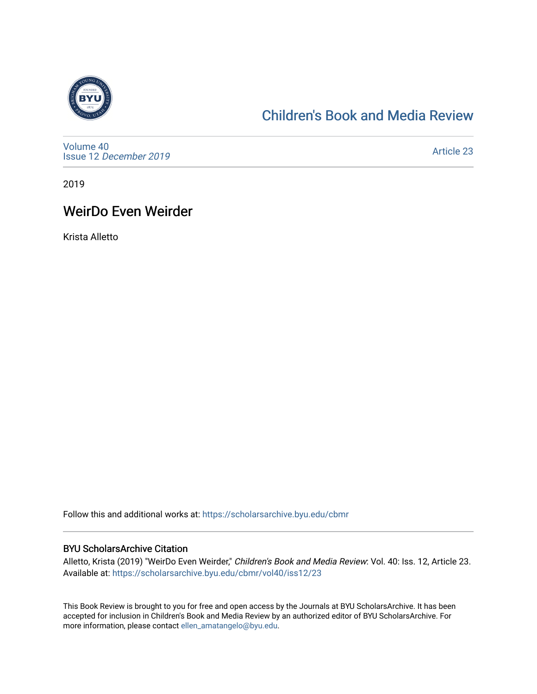

## [Children's Book and Media Review](https://scholarsarchive.byu.edu/cbmr)

[Volume 40](https://scholarsarchive.byu.edu/cbmr/vol40) Issue 12 [December 2019](https://scholarsarchive.byu.edu/cbmr/vol40/iss12)

[Article 23](https://scholarsarchive.byu.edu/cbmr/vol40/iss12/23) 

2019

## WeirDo Even Weirder

Krista Alletto

Follow this and additional works at: [https://scholarsarchive.byu.edu/cbmr](https://scholarsarchive.byu.edu/cbmr?utm_source=scholarsarchive.byu.edu%2Fcbmr%2Fvol40%2Fiss12%2F23&utm_medium=PDF&utm_campaign=PDFCoverPages) 

#### BYU ScholarsArchive Citation

Alletto, Krista (2019) "WeirDo Even Weirder," Children's Book and Media Review: Vol. 40: Iss. 12, Article 23. Available at: [https://scholarsarchive.byu.edu/cbmr/vol40/iss12/23](https://scholarsarchive.byu.edu/cbmr/vol40/iss12/23?utm_source=scholarsarchive.byu.edu%2Fcbmr%2Fvol40%2Fiss12%2F23&utm_medium=PDF&utm_campaign=PDFCoverPages) 

This Book Review is brought to you for free and open access by the Journals at BYU ScholarsArchive. It has been accepted for inclusion in Children's Book and Media Review by an authorized editor of BYU ScholarsArchive. For more information, please contact [ellen\\_amatangelo@byu.edu.](mailto:ellen_amatangelo@byu.edu)